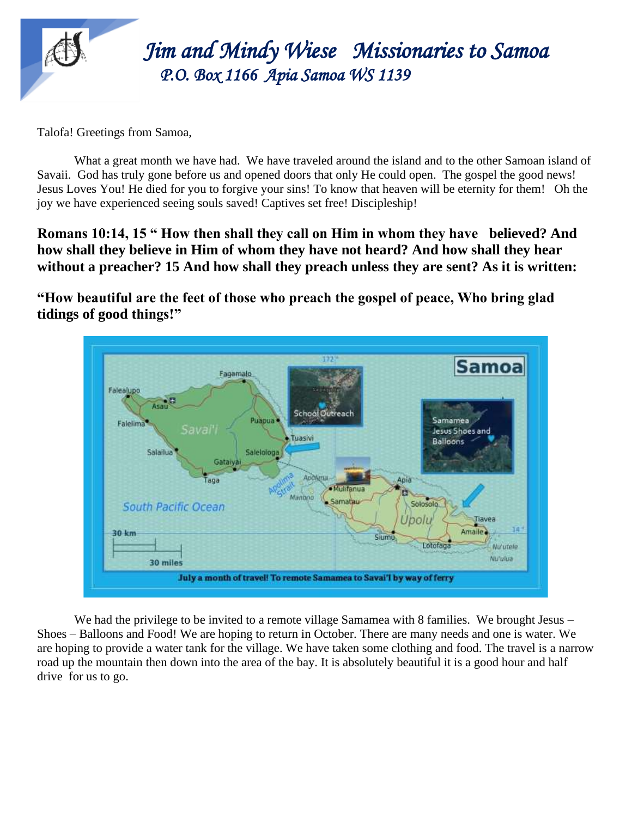

 *Jim Jim and Mindy Wiese Missionaries to Samoa P.O. Box 1166 Apia Samoa WS 1139* 

Talofa! Greetings from Samoa,

What a great month we have had. We have traveled around the island and to the other Samoan island of Savaii. God has truly gone before us and opened doors that only He could open. The gospel the good news! Jesus Loves You! He died for you to forgive your sins! To know that heaven will be eternity for them! Oh the joy we have experienced seeing souls saved! Captives set free! Discipleship!

**Romans 10:14, 15 " How then shall they call on Him in whom they have believed? And how shall they believe in Him of whom they have not heard? And how shall they hear without a preacher? 15 And how shall they preach unless they are sent? As it is written:**

**"How beautiful are the feet of those who preach the gospel of peace, Who bring glad tidings of good things!"**



We had the privilege to be invited to a remote village Samamea with 8 families. We brought Jesus – Shoes – Balloons and Food! We are hoping to return in October. There are many needs and one is water. We are hoping to provide a water tank for the village. We have taken some clothing and food. The travel is a narrow road up the mountain then down into the area of the bay. It is absolutely beautiful it is a good hour and half drive for us to go.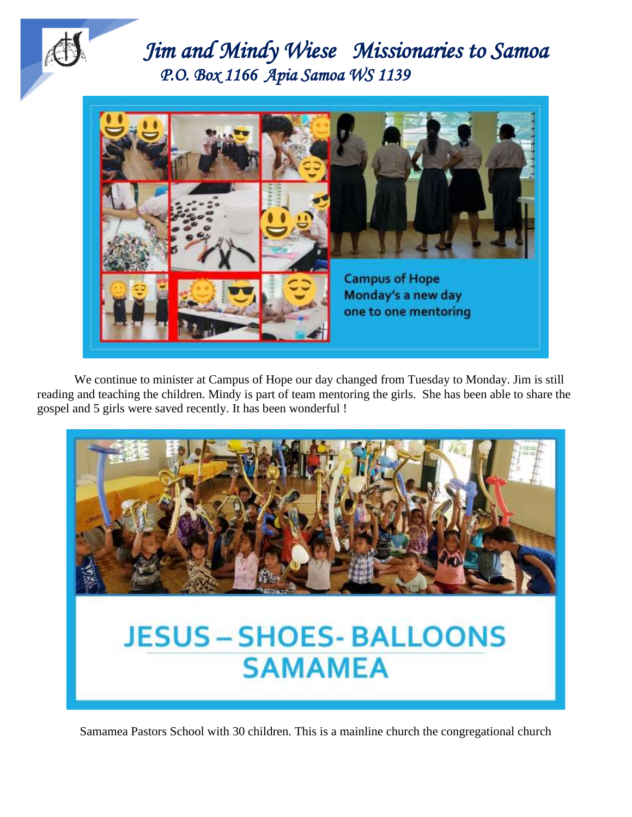



We continue to minister at Campus of Hope our day changed from Tuesday to Monday. Jim is still reading and teaching the children. Mindy is part of team mentoring the girls. She has been able to share the gospel and 5 girls were saved recently. It has been wonderful !



Samamea Pastors School with 30 children. This is a mainline church the congregational church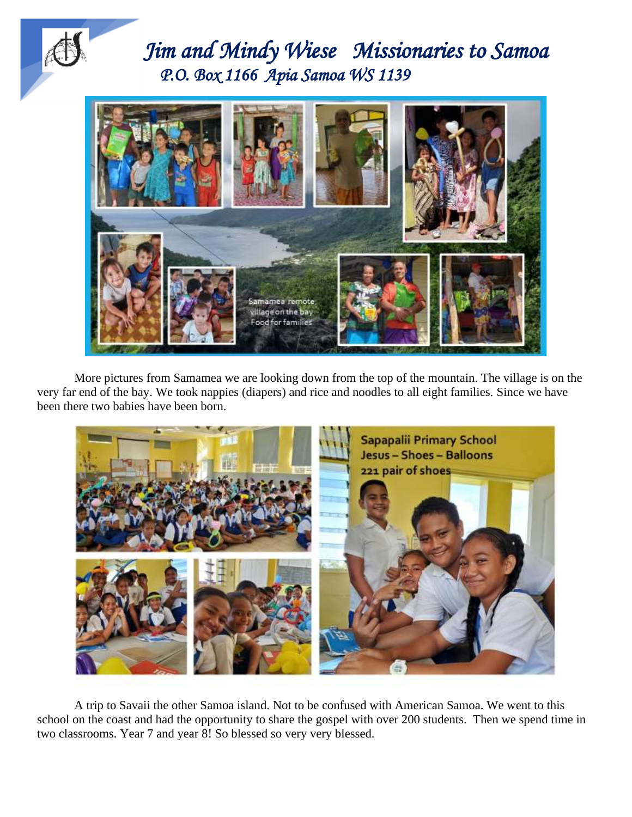



More pictures from Samamea we are looking down from the top of the mountain. The village is on the very far end of the bay. We took nappies (diapers) and rice and noodles to all eight families. Since we have been there two babies have been born.



A trip to Savaii the other Samoa island. Not to be confused with American Samoa. We went to this school on the coast and had the opportunity to share the gospel with over 200 students. Then we spend time in two classrooms. Year 7 and year 8! So blessed so very very blessed.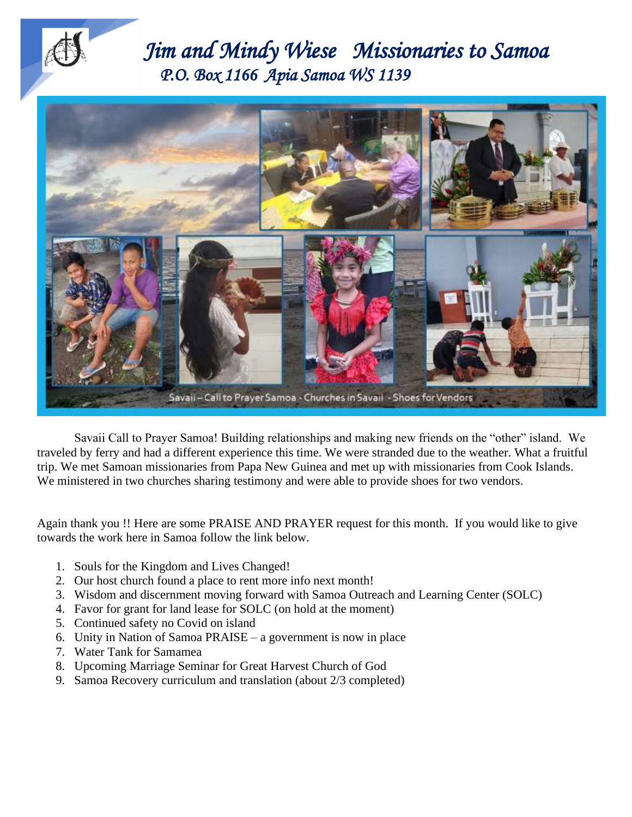

 *Jim Jim and Mindy Wiese Missionaries to Samoa P.O. Box 1166 Apia Samoa WS 1139* 



Savaii Call to Prayer Samoa! Building relationships and making new friends on the "other" island. We traveled by ferry and had a different experience this time. We were stranded due to the weather. What a fruitful trip. We met Samoan missionaries from Papa New Guinea and met up with missionaries from Cook Islands. We ministered in two churches sharing testimony and were able to provide shoes for two vendors.

Again thank you !! Here are some PRAISE AND PRAYER request for this month. If you would like to give towards the work here in Samoa follow the link below.

- 1. Souls for the Kingdom and Lives Changed!
- 2. Our host church found a place to rent more info next month!
- 3. Wisdom and discernment moving forward with Samoa Outreach and Learning Center (SOLC)
- 4. Favor for grant for land lease for SOLC (on hold at the moment)
- 5. Continued safety no Covid on island
- 6. Unity in Nation of Samoa PRAISE a government is now in place
- 7. Water Tank for Samamea
- 8. Upcoming Marriage Seminar for Great Harvest Church of God
- 9. Samoa Recovery curriculum and translation (about 2/3 completed)